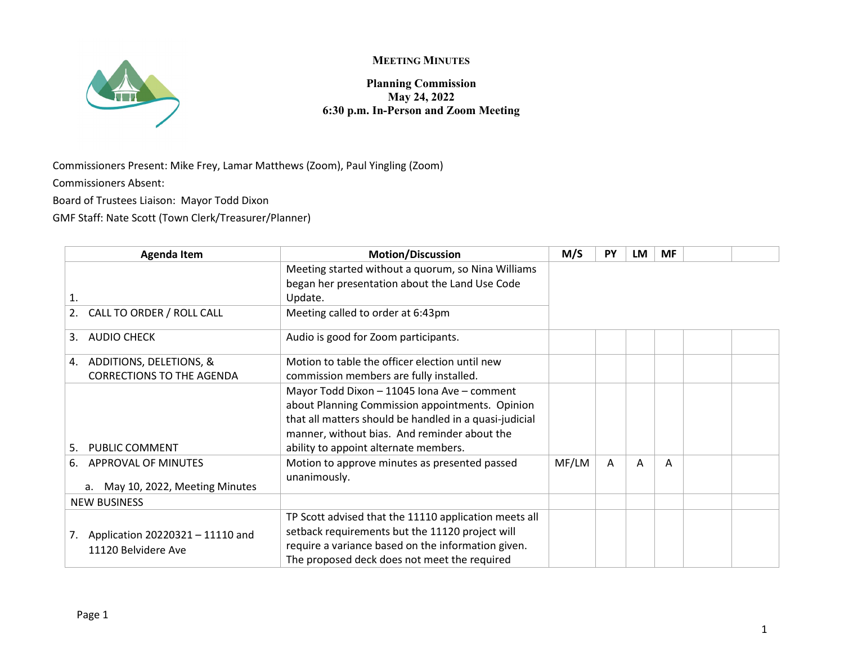



**Planning Commission May 24, 2022 6:30 p.m. In-Person and Zoom Meeting**

Commissioners Present: Mike Frey, Lamar Matthews (Zoom), Paul Yingling (Zoom)

Commissioners Absent:

Board of Trustees Liaison: Mayor Todd Dixon

GMF Staff: Nate Scott (Town Clerk/Treasurer/Planner)

| <b>Agenda Item</b>                     | <b>Motion/Discussion</b>                                      | M/S   | <b>PY</b> | LM | <b>MF</b> |  |
|----------------------------------------|---------------------------------------------------------------|-------|-----------|----|-----------|--|
|                                        | Meeting started without a quorum, so Nina Williams            |       |           |    |           |  |
|                                        | began her presentation about the Land Use Code                |       |           |    |           |  |
| 1.                                     | Update.                                                       |       |           |    |           |  |
| CALL TO ORDER / ROLL CALL<br>2.        | Meeting called to order at 6:43pm                             |       |           |    |           |  |
| <b>AUDIO CHECK</b><br>3.               | Audio is good for Zoom participants.                          |       |           |    |           |  |
| ADDITIONS, DELETIONS, &<br>4.          | Motion to table the officer election until new                |       |           |    |           |  |
| <b>CORRECTIONS TO THE AGENDA</b>       | commission members are fully installed.                       |       |           |    |           |  |
|                                        | Mayor Todd Dixon - 11045 Iona Ave - comment                   |       |           |    |           |  |
|                                        | about Planning Commission appointments. Opinion               |       |           |    |           |  |
|                                        | that all matters should be handled in a quasi-judicial        |       |           |    |           |  |
|                                        | manner, without bias. And reminder about the                  |       |           |    |           |  |
| PUBLIC COMMENT<br>.5.                  | ability to appoint alternate members.                         |       |           |    |           |  |
| APPROVAL OF MINUTES<br>6.              | Motion to approve minutes as presented passed<br>unanimously. | MF/LM | A         | A  | A         |  |
| May 10, 2022, Meeting Minutes<br>a.    |                                                               |       |           |    |           |  |
| <b>NEW BUSINESS</b>                    |                                                               |       |           |    |           |  |
|                                        | TP Scott advised that the 11110 application meets all         |       |           |    |           |  |
| Application 20220321 - 11110 and<br>7. | setback requirements but the 11120 project will               |       |           |    |           |  |
| 11120 Belvidere Ave                    | require a variance based on the information given.            |       |           |    |           |  |
|                                        | The proposed deck does not meet the required                  |       |           |    |           |  |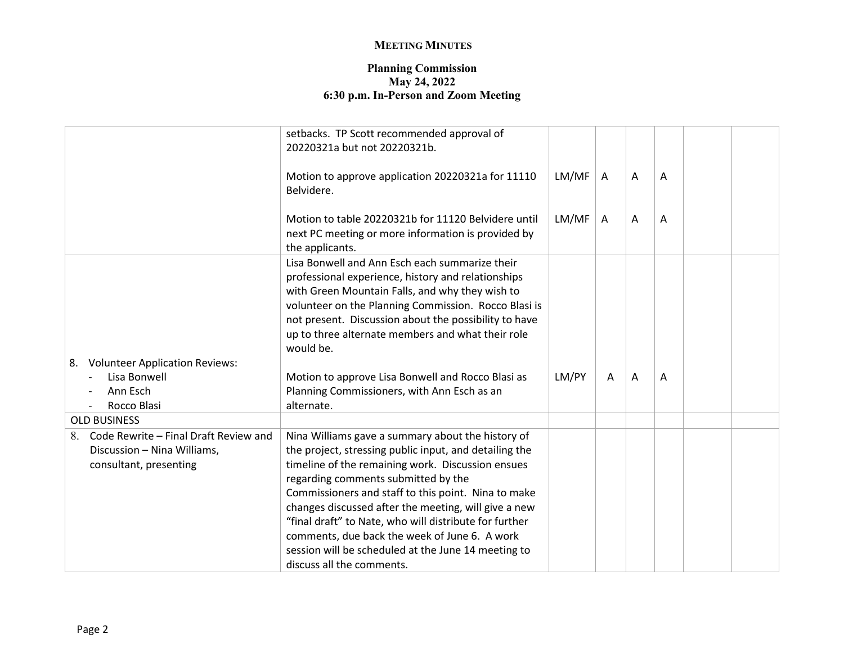## **MEETING MINUTES**

## **Planning Commission May 24, 2022 6:30 p.m. In-Person and Zoom Meeting**

|                                             | setbacks. TP Scott recommended approval of<br>20220321a but not 20220321b.                                                                                                                                                                                                                                                                 |       |   |   |   |  |
|---------------------------------------------|--------------------------------------------------------------------------------------------------------------------------------------------------------------------------------------------------------------------------------------------------------------------------------------------------------------------------------------------|-------|---|---|---|--|
|                                             | Motion to approve application 20220321a for 11110<br>Belvidere.                                                                                                                                                                                                                                                                            | LM/MF | A | A | A |  |
|                                             | Motion to table 20220321b for 11120 Belvidere until<br>next PC meeting or more information is provided by<br>the applicants.                                                                                                                                                                                                               | LM/MF | A | A | A |  |
|                                             | Lisa Bonwell and Ann Esch each summarize their<br>professional experience, history and relationships<br>with Green Mountain Falls, and why they wish to<br>volunteer on the Planning Commission. Rocco Blasi is<br>not present. Discussion about the possibility to have<br>up to three alternate members and what their role<br>would be. |       |   |   |   |  |
| 8. Volunteer Application Reviews:           |                                                                                                                                                                                                                                                                                                                                            |       |   |   |   |  |
| Lisa Bonwell                                | Motion to approve Lisa Bonwell and Rocco Blasi as                                                                                                                                                                                                                                                                                          | LM/PY | A | A | A |  |
| Ann Esch                                    | Planning Commissioners, with Ann Esch as an                                                                                                                                                                                                                                                                                                |       |   |   |   |  |
| Rocco Blasi                                 | alternate.                                                                                                                                                                                                                                                                                                                                 |       |   |   |   |  |
| <b>OLD BUSINESS</b>                         |                                                                                                                                                                                                                                                                                                                                            |       |   |   |   |  |
| Code Rewrite - Final Draft Review and<br>8. | Nina Williams gave a summary about the history of                                                                                                                                                                                                                                                                                          |       |   |   |   |  |
| Discussion - Nina Williams,                 | the project, stressing public input, and detailing the                                                                                                                                                                                                                                                                                     |       |   |   |   |  |
| consultant, presenting                      | timeline of the remaining work. Discussion ensues                                                                                                                                                                                                                                                                                          |       |   |   |   |  |
|                                             | regarding comments submitted by the                                                                                                                                                                                                                                                                                                        |       |   |   |   |  |
|                                             | Commissioners and staff to this point. Nina to make                                                                                                                                                                                                                                                                                        |       |   |   |   |  |
|                                             | changes discussed after the meeting, will give a new                                                                                                                                                                                                                                                                                       |       |   |   |   |  |
|                                             | "final draft" to Nate, who will distribute for further                                                                                                                                                                                                                                                                                     |       |   |   |   |  |
|                                             | comments, due back the week of June 6. A work                                                                                                                                                                                                                                                                                              |       |   |   |   |  |
|                                             | session will be scheduled at the June 14 meeting to<br>discuss all the comments.                                                                                                                                                                                                                                                           |       |   |   |   |  |
|                                             |                                                                                                                                                                                                                                                                                                                                            |       |   |   |   |  |